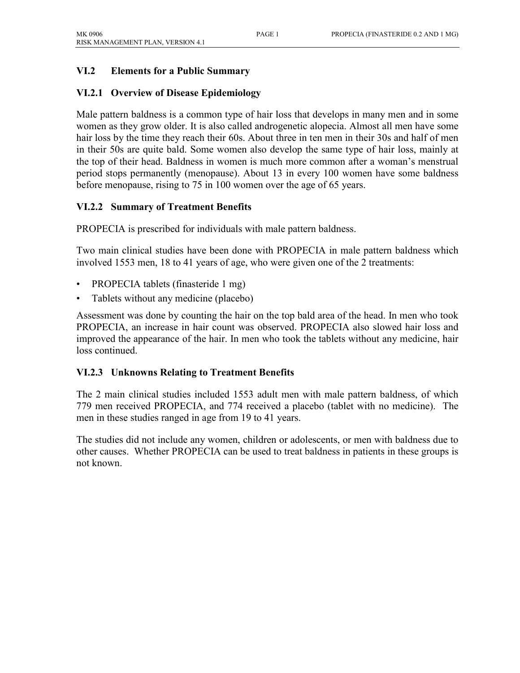## **VI.2 Elements for a Public Summary**

#### **VI.2.1 Overview of Disease Epidemiology**

Male pattern baldness is a common type of hair loss that develops in many men and in some women as they grow older. It is also called androgenetic alopecia. Almost all men have some hair loss by the time they reach their 60s. About three in ten men in their 30s and half of men in their 50s are quite bald. Some women also develop the same type of hair loss, mainly at the top of their head. Baldness in women is much more common after a woman's menstrual period stops permanently (menopause). About 13 in every 100 women have some baldness before menopause, rising to 75 in 100 women over the age of 65 years.

#### **VI.2.2 Summary of Treatment Benefits**

PROPECIA is prescribed for individuals with male pattern baldness.

Two main clinical studies have been done with PROPECIA in male pattern baldness which involved 1553 men, 18 to 41 years of age, who were given one of the 2 treatments:

- PROPECIA tablets (finasteride 1 mg)
- Tablets without any medicine (placebo)

Assessment was done by counting the hair on the top bald area of the head. In men who took PROPECIA, an increase in hair count was observed. PROPECIA also slowed hair loss and improved the appearance of the hair. In men who took the tablets without any medicine, hair loss continued.

#### **VI.2.3 Unknowns Relating to Treatment Benefits**

The 2 main clinical studies included 1553 adult men with male pattern baldness, of which 779 men received PROPECIA, and 774 received a placebo (tablet with no medicine). The men in these studies ranged in age from 19 to 41 years.

The studies did not include any women, children or adolescents, or men with baldness due to other causes. Whether PROPECIA can be used to treat baldness in patients in these groups is not known.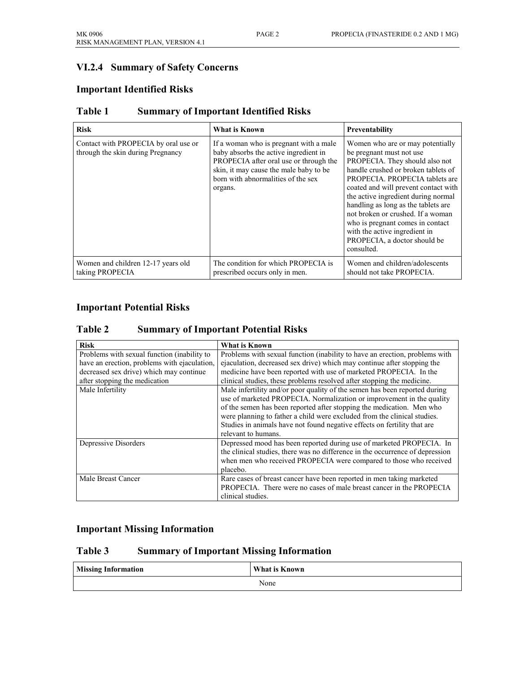# **VI.2.4 Summary of Safety Concerns**

## **Important Identified Risks**

| <b>Risk</b>                                                               | What is Known                                                                                                                                                                                                         | Preventability                                                                                                                                                                                                                                                                                                                                                                                                                                        |
|---------------------------------------------------------------------------|-----------------------------------------------------------------------------------------------------------------------------------------------------------------------------------------------------------------------|-------------------------------------------------------------------------------------------------------------------------------------------------------------------------------------------------------------------------------------------------------------------------------------------------------------------------------------------------------------------------------------------------------------------------------------------------------|
| Contact with PROPECIA by oral use or<br>through the skin during Pregnancy | If a woman who is pregnant with a male.<br>baby absorbs the active ingredient in<br>PROPECIA after oral use or through the<br>skin, it may cause the male baby to be<br>born with abnormalities of the sex<br>organs. | Women who are or may potentially<br>be pregnant must not use<br>PROPECIA. They should also not<br>handle crushed or broken tablets of<br>PROPECIA. PROPECIA tablets are<br>coated and will prevent contact with<br>the active ingredient during normal<br>handling as long as the tablets are<br>not broken or crushed. If a woman<br>who is pregnant comes in contact<br>with the active ingredient in<br>PROPECIA, a doctor should be<br>consulted. |
| Women and children 12-17 years old<br>taking PROPECIA                     | The condition for which PROPECIA is<br>prescribed occurs only in men.                                                                                                                                                 | Women and children/adolescents<br>should not take PROPECIA.                                                                                                                                                                                                                                                                                                                                                                                           |

#### **Table 1 Summary of Important Identified Risks**

#### **Important Potential Risks**

#### **Table 2 Summary of Important Potential Risks**

| <b>Risk</b>                                  | <b>What is Known</b>                                                                                                                                                                                                                                                                                     |
|----------------------------------------------|----------------------------------------------------------------------------------------------------------------------------------------------------------------------------------------------------------------------------------------------------------------------------------------------------------|
| Problems with sexual function (inability to  | Problems with sexual function (inability to have an erection, problems with                                                                                                                                                                                                                              |
| have an erection, problems with ejaculation, | ejaculation, decreased sex drive) which may continue after stopping the                                                                                                                                                                                                                                  |
| decreased sex drive) which may continue      | medicine have been reported with use of marketed PROPECIA. In the                                                                                                                                                                                                                                        |
| after stopping the medication                | clinical studies, these problems resolved after stopping the medicine.                                                                                                                                                                                                                                   |
| Male Infertility                             | Male infertility and/or poor quality of the semen has been reported during<br>use of marketed PROPECIA. Normalization or improvement in the quality<br>of the semen has been reported after stopping the medication. Men who<br>were planning to father a child were excluded from the clinical studies. |
|                                              | Studies in animals have not found negative effects on fertility that are<br>relevant to humans.                                                                                                                                                                                                          |
| Depressive Disorders                         | Depressed mood has been reported during use of marketed PROPECIA. In<br>the clinical studies, there was no difference in the occurrence of depression<br>when men who received PROPECIA were compared to those who received<br>placebo.                                                                  |
| Male Breast Cancer                           | Rare cases of breast cancer have been reported in men taking marketed<br>PROPECIA. There were no cases of male breast cancer in the PROPECIA<br>clinical studies.                                                                                                                                        |

#### **Important Missing Information**

#### **Table 3 Summary of Important Missing Information**

| <b>Missing Information</b> | What is Known |
|----------------------------|---------------|
|                            | None          |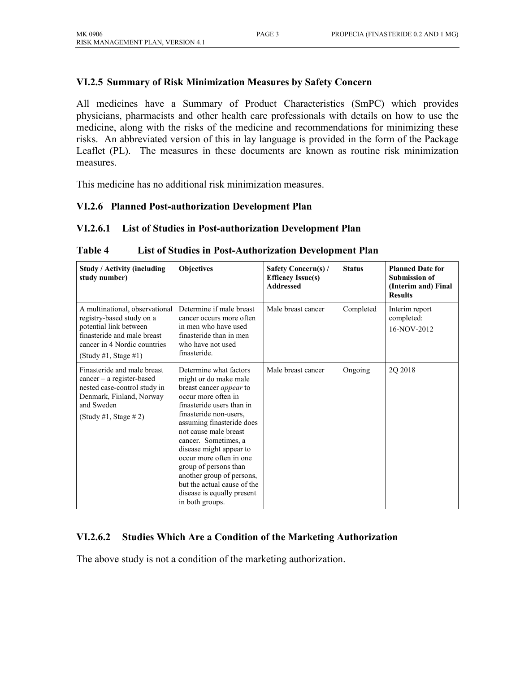#### **VI.2.5 Summary of Risk Minimization Measures by Safety Concern**

All medicines have a Summary of Product Characteristics (SmPC) which provides physicians, pharmacists and other health care professionals with details on how to use the medicine, along with the risks of the medicine and recommendations for minimizing these risks. An abbreviated version of this in lay language is provided in the form of the Package Leaflet (PL). The measures in these documents are known as routine risk minimization measures.

This medicine has no additional risk minimization measures.

#### **VI.2.6 Planned Post-authorization Development Plan**

#### **VI.2.6.1 List of Studies in Post-authorization Development Plan**

| <b>Study / Activity (including</b><br>study number)                                                                                                                          | Objectives                                                                                                                                                                                                                                                                                                                                                                                                                                | <b>Safety Concern(s) /</b><br><b>Efficacy Issue(s)</b><br><b>Addressed</b> | <b>Status</b> | <b>Planned Date for</b><br><b>Submission of</b><br>(Interim and) Final<br><b>Results</b> |
|------------------------------------------------------------------------------------------------------------------------------------------------------------------------------|-------------------------------------------------------------------------------------------------------------------------------------------------------------------------------------------------------------------------------------------------------------------------------------------------------------------------------------------------------------------------------------------------------------------------------------------|----------------------------------------------------------------------------|---------------|------------------------------------------------------------------------------------------|
| A multinational, observational<br>registry-based study on a<br>potential link between<br>finasteride and male breast<br>cancer in 4 Nordic countries<br>(Study #1, Stage #1) | Determine if male breast<br>cancer occurs more often<br>in men who have used<br>finasteride than in men<br>who have not used<br>finasteride.                                                                                                                                                                                                                                                                                              | Male breast cancer                                                         | Completed     | Interim report<br>completed:<br>16-NOV-2012                                              |
| Finasteride and male breast<br>$cancer - a register-based$<br>nested case-control study in<br>Denmark, Finland, Norway<br>and Sweden<br>(Study #1, Stage #2)                 | Determine what factors<br>might or do make male<br>breast cancer <i>appear</i> to<br>occur more often in<br>finasteride users than in<br>finasteride non-users,<br>assuming finasteride does<br>not cause male breast<br>cancer. Sometimes, a<br>disease might appear to<br>occur more often in one<br>group of persons than<br>another group of persons,<br>but the actual cause of the<br>disease is equally present<br>in both groups. | Male breast cancer                                                         | Ongoing       | 2Q 2018                                                                                  |

**Table 4 List of Studies in Post-Authorization Development Plan**

#### **VI.2.6.2 Studies Which Are a Condition of the Marketing Authorization**

The above study is not a condition of the marketing authorization.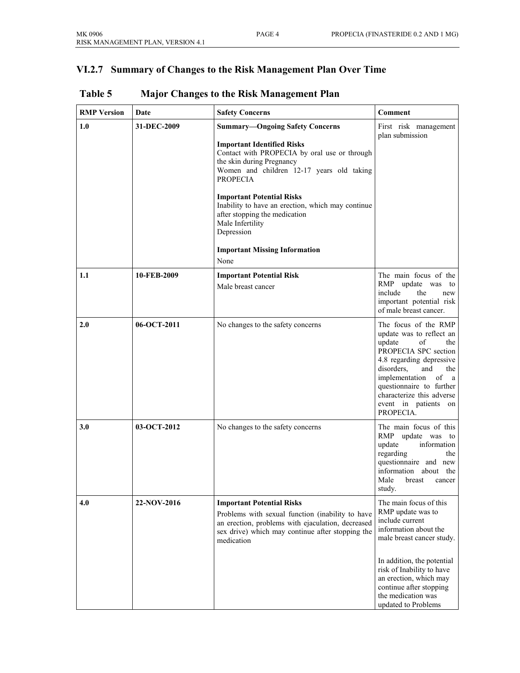# **VI.2.7 Summary of Changes to the Risk Management Plan Over Time**

| <b>RMP</b> Version | Date        | <b>Safety Concerns</b>                                                                                                                                                                                                                                                                                                                                                                                                               | Comment                                                                                                                                                                                                                                                                           |
|--------------------|-------------|--------------------------------------------------------------------------------------------------------------------------------------------------------------------------------------------------------------------------------------------------------------------------------------------------------------------------------------------------------------------------------------------------------------------------------------|-----------------------------------------------------------------------------------------------------------------------------------------------------------------------------------------------------------------------------------------------------------------------------------|
| 1.0                | 31-DEC-2009 | <b>Summary-Ongoing Safety Concerns</b><br><b>Important Identified Risks</b><br>Contact with PROPECIA by oral use or through<br>the skin during Pregnancy<br>Women and children 12-17 years old taking<br><b>PROPECIA</b><br><b>Important Potential Risks</b><br>Inability to have an erection, which may continue<br>after stopping the medication<br>Male Infertility<br>Depression<br><b>Important Missing Information</b><br>None | First risk management<br>plan submission                                                                                                                                                                                                                                          |
|                    |             |                                                                                                                                                                                                                                                                                                                                                                                                                                      |                                                                                                                                                                                                                                                                                   |
| 1.1                | 10-FEB-2009 | <b>Important Potential Risk</b><br>Male breast cancer                                                                                                                                                                                                                                                                                                                                                                                | The main focus of the<br>RMP update was<br>to<br>include<br>the<br>new<br>important potential risk<br>of male breast cancer.                                                                                                                                                      |
| 2.0                | 06-OCT-2011 | No changes to the safety concerns                                                                                                                                                                                                                                                                                                                                                                                                    | The focus of the RMP<br>update was to reflect an<br>update<br>of<br>the<br>PROPECIA SPC section<br>4.8 regarding depressive<br>disorders,<br>and<br>the<br>implementation of<br>a a<br>questionnaire to further<br>characterize this adverse<br>event in patients on<br>PROPECIA. |
| 3.0                | 03-OCT-2012 | No changes to the safety concerns                                                                                                                                                                                                                                                                                                                                                                                                    | The main focus of this<br>RMP<br>update was to<br>information<br>update<br>regarding<br>the<br>questionnaire and new<br>information<br>about<br>the<br>Male<br>breast<br>cancer<br>study.                                                                                         |
| 4.0                | 22-NOV-2016 | <b>Important Potential Risks</b><br>Problems with sexual function (inability to have<br>an erection, problems with ejaculation, decreased<br>sex drive) which may continue after stopping the<br>medication                                                                                                                                                                                                                          | The main focus of this<br>RMP update was to<br>include current<br>information about the<br>male breast cancer study.<br>In addition, the potential                                                                                                                                |
|                    |             |                                                                                                                                                                                                                                                                                                                                                                                                                                      | risk of Inability to have<br>an erection, which may<br>continue after stopping<br>the medication was<br>updated to Problems                                                                                                                                                       |

# **Table 5 Major Changes to the Risk Management Plan**